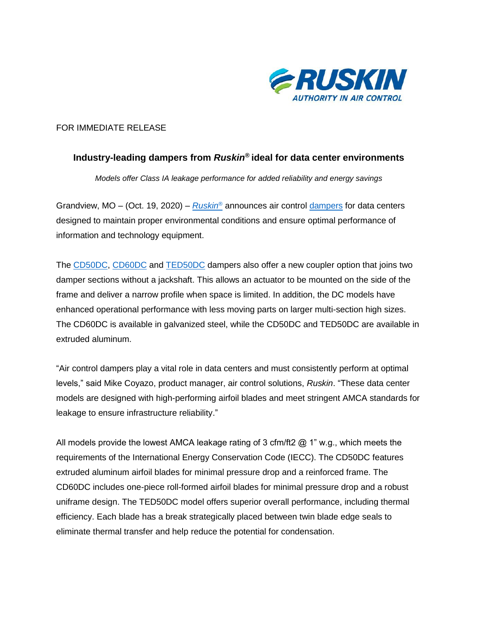

## FOR IMMEDIATE RELEASE

## **Industry-leading dampers from** *Ruskin***® ideal for data center environments**

*Models offer Class IA leakage performance for added reliability and energy savings*

Grandview, MO – (Oct. 19, 2020) – *[Ruskin](https://www.ruskin.com/)*® announces air control [dampers](https://www.ruskin.com/category/288~Control--Manual----Backdraft-Dampers) for data centers designed to maintain proper environmental conditions and ensure optimal performance of information and technology equipment.

The [CD50DC,](https://www.ruskin.com/model/cd50dc) [CD60DC](https://www.ruskin.com/model/cd60dc) and [TED50DC](https://www.ruskin.com/model/ted50dc) dampers also offer a new coupler option that joins two damper sections without a jackshaft. This allows an actuator to be mounted on the side of the frame and deliver a narrow profile when space is limited. In addition, the DC models have enhanced operational performance with less moving parts on larger multi-section high sizes. The CD60DC is available in galvanized steel, while the CD50DC and TED50DC are available in extruded aluminum.

"Air control dampers play a vital role in data centers and must consistently perform at optimal levels," said Mike Coyazo, product manager, air control solutions, *Ruskin*. "These data center models are designed with high-performing airfoil blades and meet stringent AMCA standards for leakage to ensure infrastructure reliability."

All models provide the lowest AMCA leakage rating of 3 cfm/ft2  $@ 1" w.q.,$  which meets the requirements of the International Energy Conservation Code (IECC). The CD50DC features extruded aluminum airfoil blades for minimal pressure drop and a reinforced frame. The CD60DC includes one-piece roll-formed airfoil blades for minimal pressure drop and a robust uniframe design. The TED50DC model offers superior overall performance, including thermal efficiency. Each blade has a break strategically placed between twin blade edge seals to eliminate thermal transfer and help reduce the potential for condensation.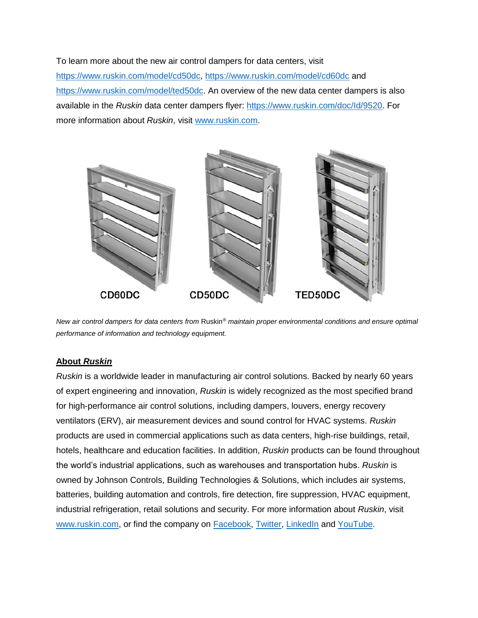To learn more about the new air control dampers for data centers, visit [https://www.ruskin.com/model/cd50dc,](https://www.ruskin.com/model/cd50dc)<https://www.ruskin.com/model/cd60dc> and [https://www.ruskin.com/model/ted50dc.](https://www.ruskin.com/model/ted50dc) An overview of the new data center dampers is also available in the *Ruskin* data center dampers flyer: [https://www.ruskin.com/doc/Id/9520.](https://www.ruskin.com/doc/Id/9520) For more information about *Ruskin*, visit [www.ruskin.com.](https://www.ruskin.com/)



*New air control dampers for data centers from Ruskin<sup>®</sup> maintain proper environmental conditions and ensure optimal performance of information and technology equipment.*

## **About** *Ruskin*

*Ruskin* is a worldwide leader in manufacturing air control solutions. Backed by nearly 60 years of expert engineering and innovation, *Ruskin* is widely recognized as the most specified brand for high-performance air control solutions, including dampers, louvers, energy recovery ventilators (ERV), air measurement devices and sound control for HVAC systems. *Ruskin* products are used in commercial applications such as data centers, high-rise buildings, retail, hotels, healthcare and education facilities. In addition, *Ruskin* products can be found throughout the world's industrial applications, such as warehouses and transportation hubs. *Ruskin* is owned by Johnson Controls, Building Technologies & Solutions, which includes air systems, batteries, building automation and controls, fire detection, fire suppression, HVAC equipment, industrial refrigeration, retail solutions and security. For more information about *Ruskin*, visit [www.ruskin.com,](https://www.ruskin.com/) or find the company on [Facebook,](https://www.facebook.com/Ruskin/) [Twitter,](https://twitter.com/ruskincompany) [LinkedIn](https://www.linkedin.com/company/ruskin/) and [YouTube.](https://www.youtube.com/user/ruskincompany?sub_confirmation=1)